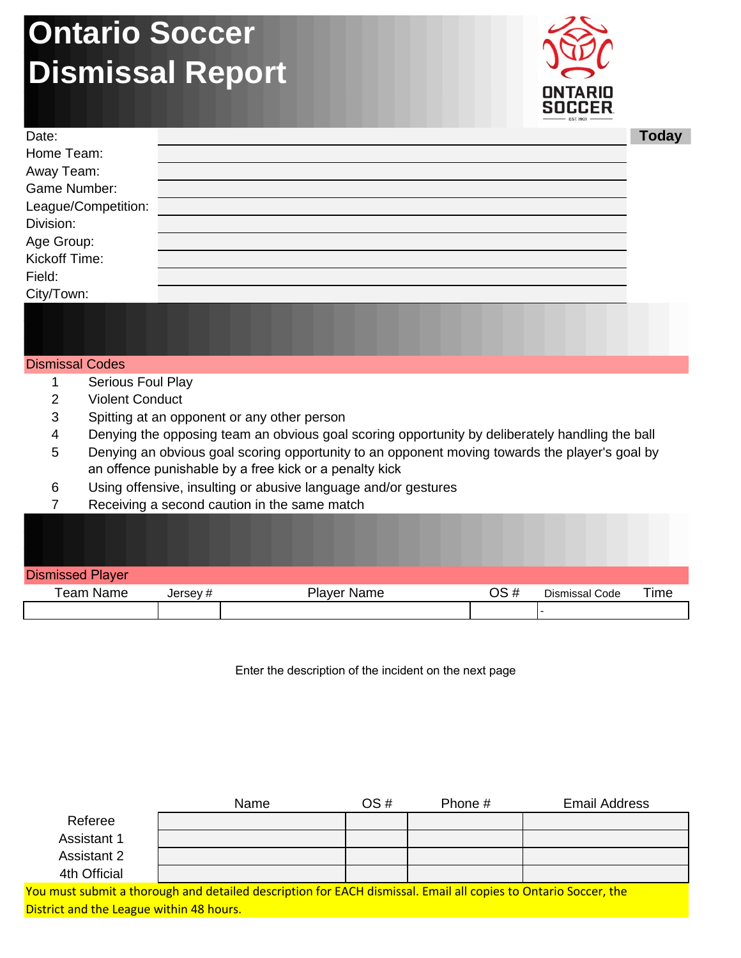## **Ontario Soccer Dismissal Report**



| Date:               | <b>Today</b> |
|---------------------|--------------|
| Home Team:          |              |
| Away Team:          |              |
| Game Number:        |              |
| League/Competition: |              |
| Division:           |              |
| Age Group:          |              |
| Kickoff Time:       |              |
| Field:              |              |
| City/Town:          |              |
|                     |              |
|                     |              |

## Dismissal Codes

- 1 Serious Foul Play
- 2 Violent Conduct
- 3 Spitting at an opponent or any other person
- 4 Denying the opposing team an obvious goal scoring opportunity by deliberately handling the ball
- 5 Denying an obvious goal scoring opportunity to an opponent moving towards the player's goal by an offence punishable by a free kick or a penalty kick
- 6 Using offensive, insulting or abusive language and/or gestures
- 7 Receiving a second caution in the same match

| <b>Dismissed Player</b> |         |                    |     |                |      |
|-------------------------|---------|--------------------|-----|----------------|------|
| <b>Team Name</b>        | Jersey# | <b>Player Name</b> | OS# | Dismissal Code | Time |
|                         |         |                    |     |                |      |

Enter the description of the incident on the next page

|                    | Name | OS# | Phone # | <b>Email Address</b> |
|--------------------|------|-----|---------|----------------------|
| Referee            |      |     |         |                      |
| <b>Assistant 1</b> |      |     |         |                      |
| Assistant 2        |      |     |         |                      |
| 4th Official       |      |     |         |                      |

You must submit a thorough and detailed description for EACH dismissal. Email all copies to Ontario Soccer, the District and the League within 48 hours.

## **Today**